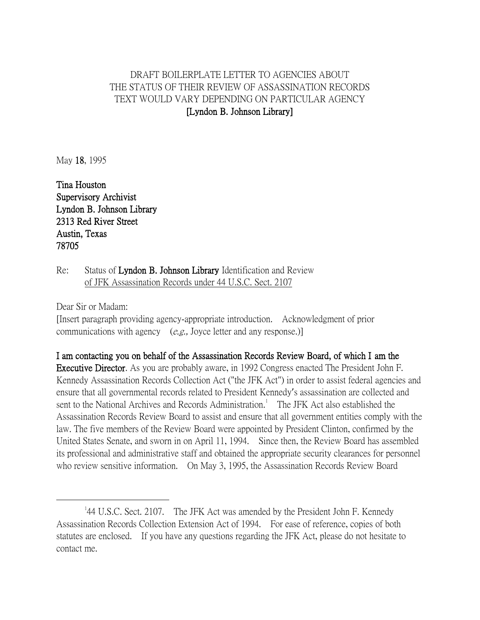## DRAFT BOILERPLATE LETTER TO AGENCIES ABOUT THE STATUS OF THEIR REVIEW OF ASSASSINATION RECORDS TEXT WOULD VARY DEPENDING ON PARTICULAR AGENCY [Lyndon B. Johnson Library]

May 18, 1995

Tina Houston Supervisory Archivist Lyndon B. Johnson Library 2313 Red River Street Austin, Texas 78705

Re: Status of Lyndon B. Johnson Library Identification and Review of JFK Assassination Records under 44 U.S.C. Sect. 2107

Dear Sir or Madam:

 $\overline{a}$ 

[Insert paragraph providing agency-appropriate introduction. Acknowledgment of prior communications with agency  $(e.g., Joyce letter and any response.)$ 

I am contacting you on behalf of the Assassination Records Review Board, of which I am the Executive Director. As you are probably aware, in 1992 Congress enacted The President John F. Kennedy Assassination Records Collection Act ("the JFK Act") in order to assist federal agencies and ensure that all governmental records related to President Kennedy's assassination are collected and sent to the National Archives and Records Administration.<sup>1</sup> The JFK Act also established the Assassination Records Review Board to assist and ensure that all government entities comply with the law. The five members of the Review Board were appointed by President Clinton, confirmed by the United States Senate, and sworn in on April 11, 1994. Since then, the Review Board has assembled its professional and administrative staff and obtained the appropriate security clearances for personnel who review sensitive information. On May 3, 1995, the Assassination Records Review Board

<sup>&</sup>lt;sup>1</sup>44 U.S.C. Sect. 2107. The JFK Act was amended by the President John F. Kennedy Assassination Records Collection Extension Act of 1994. For ease of reference, copies of both statutes are enclosed. If you have any questions regarding the JFK Act, please do not hesitate to contact me.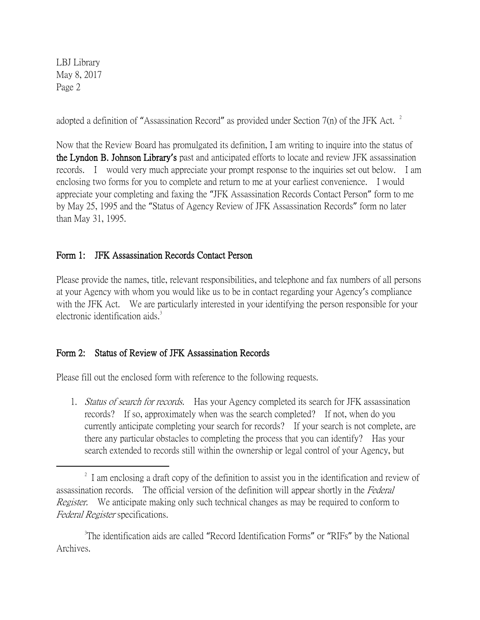LBJ Library May 8, 2017 Page 2

 $\overline{a}$ 

adopted a definition of "Assassination Record" as provided under Section 7(n) of the JFK Act.  $^2$ 

Now that the Review Board has promulgated its definition, I am writing to inquire into the status of the Lyndon B. Johnson Library**'**s past and anticipated efforts to locate and review JFK assassination records. I would very much appreciate your prompt response to the inquiries set out below. I am enclosing two forms for you to complete and return to me at your earliest convenience. I would appreciate your completing and faxing the "JFK Assassination Records Contact Person" form to me by May 25, 1995 and the "Status of Agency Review of JFK Assassination Records" form no later than May 31, 1995.

## Form 1: JFK Assassination Records Contact Person

Please provide the names, title, relevant responsibilities, and telephone and fax numbers of all persons at your Agency with whom you would like us to be in contact regarding your Agency's compliance with the JFK Act. We are particularly interested in your identifying the person responsible for your electronic identification aids.<sup>3</sup>

## Form 2: Status of Review of JFK Assassination Records

Please fill out the enclosed form with reference to the following requests.

1. *Status of search for records.* Has your Agency completed its search for JFK assassination records? If so, approximately when was the search completed? If not, when do you currently anticipate completing your search for records? If your search is not complete, are there any particular obstacles to completing the process that you can identify? Has your search extended to records still within the ownership or legal control of your Agency, but

<sup>3</sup>The identification aids are called "Record Identification Forms" or "RIFs" by the National Archives.

<sup>&</sup>lt;sup>2</sup> I am enclosing a draft copy of the definition to assist you in the identification and review of assassination records. The official version of the definition will appear shortly in the Federal *Register.* We anticipate making only such technical changes as may be required to conform to Federal Register specifications.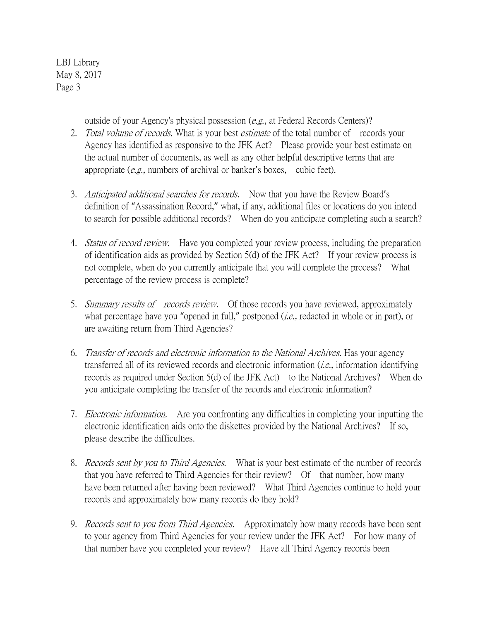LBJ Library May 8, 2017 Page 3

outside of your Agency's physical possession (e.g., at Federal Records Centers)?

- 2. Total volume of records. What is your best estimate of the total number of records your Agency has identified as responsive to the JFK Act? Please provide your best estimate on the actual number of documents, as well as any other helpful descriptive terms that are appropriate (e.g., numbers of archival or banker's boxes, cubic feet).
- 3. Anticipated additional searches for records. Now that you have the Review Board's definition of "Assassination Record," what, if any, additional files or locations do you intend to search for possible additional records? When do you anticipate completing such a search?
- 4. *Status of record review.* Have you completed your review process, including the preparation of identification aids as provided by Section 5(d) of the JFK Act? If your review process is not complete, when do you currently anticipate that you will complete the process? What percentage of the review process is complete?
- 5. Summary results of records review. Of those records you have reviewed, approximately what percentage have you "opened in full," postponed  $(i.e.,$  redacted in whole or in part), or are awaiting return from Third Agencies?
- 6. Transfer of records and electronic information to the National Archives. Has your agency transferred all of its reviewed records and electronic information (i.e., information identifying records as required under Section 5(d) of the JFK Act) to the National Archives? When do you anticipate completing the transfer of the records and electronic information?
- 7. *Electronic information*. Are you confronting any difficulties in completing your inputting the electronic identification aids onto the diskettes provided by the National Archives? If so, please describe the difficulties.
- 8. *Records sent by you to Third Agencies*. What is your best estimate of the number of records that you have referred to Third Agencies for their review? Of that number, how many have been returned after having been reviewed? What Third Agencies continue to hold your records and approximately how many records do they hold?
- 9. *Records sent to you from Third Agencies.* Approximately how many records have been sent to your agency from Third Agencies for your review under the JFK Act? For how many of that number have you completed your review? Have all Third Agency records been